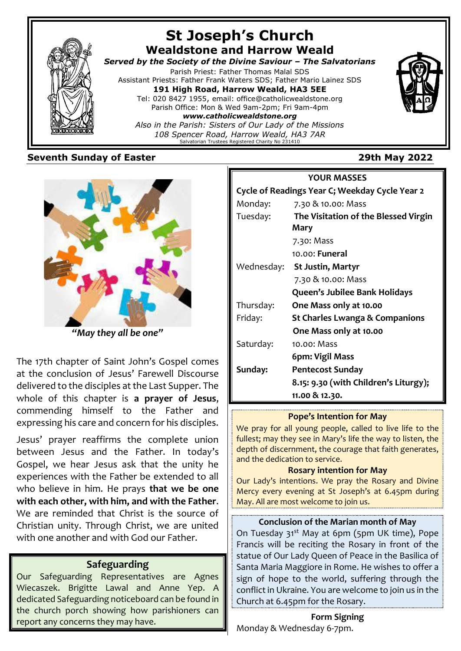

#### **Seventh Sunday of Easter 29th May 2022**



*"May they all be one"*

The 17th chapter of Saint John's Gospel comes at the conclusion of Jesus' Farewell Discourse delivered to the disciples at the Last Supper. The whole of this chapter is **a prayer of Jesus**, commending himself to the Father and expressing his care and concern for his disciples.

Jesus' prayer reaffirms the complete union between Jesus and the Father. In today's Gospel, we hear Jesus ask that the unity he experiences with the Father be extended to all who believe in him. He prays **that we be one with each other, with him, and with the Father**. We are reminded that Christ is the source of Christian unity. Through Christ, we are united with one another and with God our Father.

## **Safeguarding**

Our Safeguarding Representatives are Agnes Wiecaszek. Brigitte Lawal and Anne Yep. A dedicated Safeguarding noticeboard can be found in the church porch showing how parishioners can report any concerns they may have.

# **YOUR MASSES Cycle of Readings Year C; Weekday Cycle Year 2** Monday: 7.30 & 10.00: Mass Tuesday: **The Visitation of the Blessed Virgin Mary** 7.30: Mass 10.00: **Funeral** Wednesday: **St Justin, Martyr** 7.30 & 10.00: Mass **Queen's Jubilee Bank Holidays** Thursday: **One Mass only at 10.00** Friday: **St Charles Lwanga & Companions One Mass only at 10.00** Saturday: 10.00: Mass  **6pm: Vigil Mass Sunday: Pentecost Sunday 8.15: 9.30 (with Children's Liturgy); 11.00 & 12.30.**

#### **Pope's Intention for May**

We pray for all young people, called to live life to the fullest; may they see in Mary's life the way to listen, the depth of discernment, the courage that faith generates, and the dedication to service.

#### **Rosary intention for May**

Our Lady's intentions. We pray the Rosary and Divine Mercy every evening at St Joseph's at 6.45pm during May. All are most welcome to join us.

#### **Conclusion of the Marian month of May**

On Tuesday 31<sup>st</sup> May at 6pm (5pm UK time), Pope Francis will be reciting the Rosary in front of the statue of Our Lady Queen of Peace in the Basilica of Santa Maria Maggiore in Rome. He wishes to offer a sign of hope to the world, suffering through the conflict in Ukraine. You are welcome to join us in the Church at 6.45pm for the Rosary.

**Form Signing** Monday & Wednesday 6-7pm.